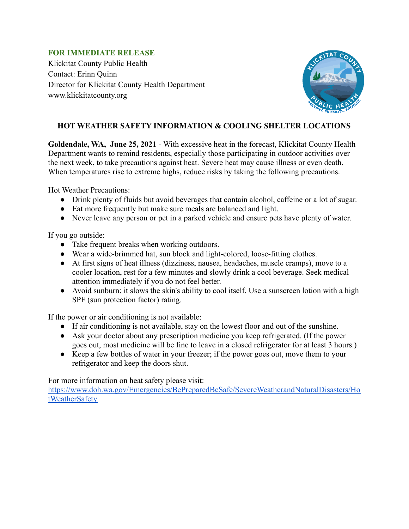## **FOR IMMEDIATE RELEASE**

Klickitat County Public Health Contact: Erinn Quinn Director for Klickitat County Health Department www.klickitatcounty.org



# **HOT WEATHER SAFETY INFORMATION & COOLING SHELTER LOCATIONS**

**Goldendale, WA, June 25, 2021** - With excessive heat in the forecast, Klickitat County Health Department wants to remind residents, especially those participating in outdoor activities over the next week, to take precautions against heat. Severe heat may cause illness or even death. When temperatures rise to extreme highs, reduce risks by taking the following precautions.

Hot Weather Precautions:

- Drink plenty of fluids but avoid beverages that contain alcohol, caffeine or a lot of sugar.
- Eat more frequently but make sure meals are balanced and light.
- Never leave any person or pet in a parked vehicle and ensure pets have plenty of water.

If you go outside:

- Take frequent breaks when working outdoors.
- Wear a wide-brimmed hat, sun block and light-colored, loose-fitting clothes.
- At first signs of heat illness (dizziness, nausea, headaches, muscle cramps), move to a cooler location, rest for a few minutes and slowly drink a cool beverage. Seek medical attention immediately if you do not feel better.
- Avoid sunburn: it slows the skin's ability to cool itself. Use a sunscreen lotion with a high SPF (sun protection factor) rating.

If the power or air conditioning is not available:

- If air conditioning is not available, stay on the lowest floor and out of the sunshine.
- Ask your doctor about any prescription medicine you keep refrigerated. (If the power goes out, most medicine will be fine to leave in a closed refrigerator for at least 3 hours.)
- Keep a few bottles of water in your freezer; if the power goes out, move them to your refrigerator and keep the doors shut.

For more information on heat safety please visit:

[https://www.doh.wa.gov/Emergencies/BePreparedBeSafe/SevereWeatherandNaturalDisasters/Ho](https://www.doh.wa.gov/Emergencies/BePreparedBeSafe/SevereWeatherandNaturalDisasters/HotWeatherSafety) [tWeatherSafety](https://www.doh.wa.gov/Emergencies/BePreparedBeSafe/SevereWeatherandNaturalDisasters/HotWeatherSafety)